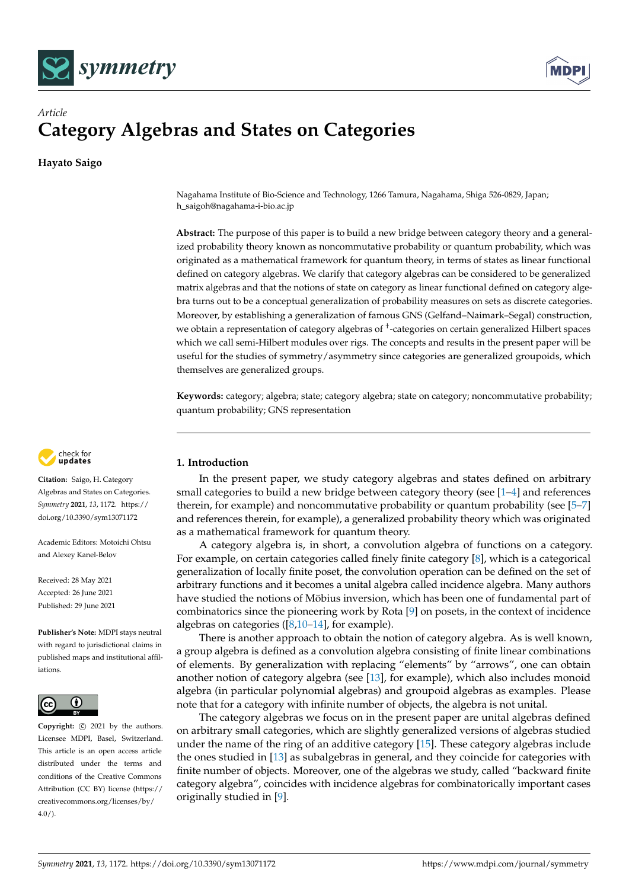



# *Article* **Category Algebras and States on Categories**

**Hayato Saigo**

Nagahama Institute of Bio-Science and Technology, 1266 Tamura, Nagahama, Shiga 526-0829, Japan; h\_saigoh@nagahama-i-bio.ac.jp

**Abstract:** The purpose of this paper is to build a new bridge between category theory and a generalized probability theory known as noncommutative probability or quantum probability, which was originated as a mathematical framework for quantum theory, in terms of states as linear functional defined on category algebras. We clarify that category algebras can be considered to be generalized matrix algebras and that the notions of state on category as linear functional defined on category algebra turns out to be a conceptual generalization of probability measures on sets as discrete categories. Moreover, by establishing a generalization of famous GNS (Gelfand–Naimark–Segal) construction, we obtain a representation of category algebras of † -categories on certain generalized Hilbert spaces which we call semi-Hilbert modules over rigs. The concepts and results in the present paper will be useful for the studies of symmetry/asymmetry since categories are generalized groupoids, which themselves are generalized groups.

**Keywords:** category; algebra; state; category algebra; state on category; noncommutative probability; quantum probability; GNS representation



**Citation:** Saigo, H. Category Algebras and States on Categories. *Symmetry* **2021**, *13*, 1172. [https://](https://doi.org/10.3390/sym13071172) [doi.org/10.3390/sym13071172](https://doi.org/10.3390/sym13071172)

Academic Editors: Motoichi Ohtsu and Alexey Kanel-Belov

Received: 28 May 2021 Accepted: 26 June 2021 Published: 29 June 2021

**Publisher's Note:** MDPI stays neutral with regard to jurisdictional claims in published maps and institutional affiliations.



**Copyright:**  $\odot$  2021 by the authors. Licensee MDPI, Basel, Switzerland. This article is an open access article distributed under the terms and conditions of the Creative Commons Attribution (CC BY) license (https:/[/](https://creativecommons.org/licenses/by/4.0/) [creativecommons.org/licenses/by/](https://creativecommons.org/licenses/by/4.0/)  $4.0/$ ).

## **1. Introduction**

In the present paper, we study category algebras and states defined on arbitrary small categories to build a new bridge between category theory (see  $[1-4]$  $[1-4]$  and references therein, for example) and noncommutative probability or quantum probability (see [\[5–](#page-11-1)[7\]](#page-11-2) and references therein, for example), a generalized probability theory which was originated as a mathematical framework for quantum theory.

A category algebra is, in short, a convolution algebra of functions on a category. For example, on certain categories called finely finite category [\[8\]](#page-11-3), which is a categorical generalization of locally finite poset, the convolution operation can be defined on the set of arbitrary functions and it becomes a unital algebra called incidence algebra. Many authors have studied the notions of Möbius inversion, which has been one of fundamental part of combinatorics since the pioneering work by Rota [\[9\]](#page-11-4) on posets, in the context of incidence algebras on categories  $([8, 10-14]$  $([8, 10-14]$  $([8, 10-14]$  $([8, 10-14]$  $([8, 10-14]$ , for example).

There is another approach to obtain the notion of category algebra. As is well known, a group algebra is defined as a convolution algebra consisting of finite linear combinations of elements. By generalization with replacing "elements" by "arrows", one can obtain another notion of category algebra (see [\[13\]](#page-11-7), for example), which also includes monoid algebra (in particular polynomial algebras) and groupoid algebras as examples. Please note that for a category with infinite number of objects, the algebra is not unital.

The category algebras we focus on in the present paper are unital algebras defined on arbitrary small categories, which are slightly generalized versions of algebras studied under the name of the ring of an additive category [\[15\]](#page-11-8). These category algebras include the ones studied in [\[13\]](#page-11-7) as subalgebras in general, and they coincide for categories with finite number of objects. Moreover, one of the algebras we study, called "backward finite category algebra", coincides with incidence algebras for combinatorically important cases originally studied in [\[9\]](#page-11-4).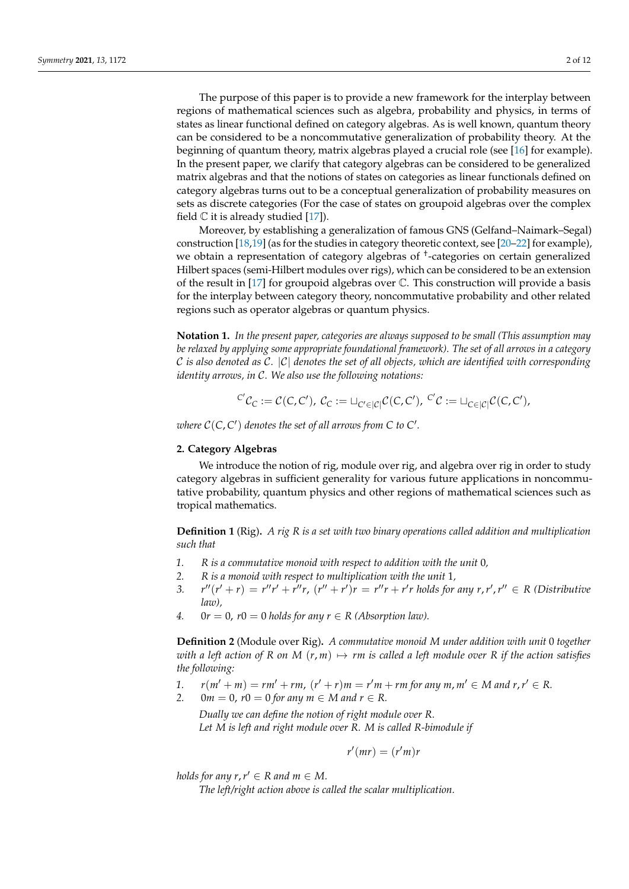The purpose of this paper is to provide a new framework for the interplay between regions of mathematical sciences such as algebra, probability and physics, in terms of states as linear functional defined on category algebras. As is well known, quantum theory can be considered to be a noncommutative generalization of probability theory. At the beginning of quantum theory, matrix algebras played a crucial role (see [\[16\]](#page-11-9) for example). In the present paper, we clarify that category algebras can be considered to be generalized matrix algebras and that the notions of states on categories as linear functionals defined on category algebras turns out to be a conceptual generalization of probability measures on sets as discrete categories (For the case of states on groupoid algebras over the complex field  $\mathbb C$  it is already studied [\[17\]](#page-11-10)).

Moreover, by establishing a generalization of famous GNS (Gelfand–Naimark–Segal) construction [\[18,](#page-11-11)[19\]](#page-11-12) (as for the studies in category theoretic context, see [\[20–](#page-11-13)[22\]](#page-11-14) for example), we obtain a representation of category algebras of † -categories on certain generalized Hilbert spaces (semi-Hilbert modules over rigs), which can be considered to be an extension of the result in [\[17\]](#page-11-10) for groupoid algebras over  $\mathbb C$ . This construction will provide a basis for the interplay between category theory, noncommutative probability and other related regions such as operator algebras or quantum physics.

**Notation 1.** *In the present paper, categories are always supposed to be small (This assumption may be relaxed by applying some appropriate foundational framework). The set of all arrows in a category* C *is also denoted as* C*.* |C| *denotes the set of all objects, which are identified with corresponding identity arrows, in* C*. We also use the following notations:*

$$
{}^{C'}\mathcal{C}_C := \mathcal{C}(C,C'), \ \mathcal{C}_C := \sqcup_{C' \in |\mathcal{C}|} \mathcal{C}(C,C'), \ {}^{C'}\mathcal{C} := \sqcup_{C \in |\mathcal{C}|} \mathcal{C}(C,C'),
$$

where  $C(C, C')$  denotes the set of all arrows from  $C$  to  $C'$ .

### **2. Category Algebras**

We introduce the notion of rig, module over rig, and algebra over rig in order to study category algebras in sufficient generality for various future applications in noncommutative probability, quantum physics and other regions of mathematical sciences such as tropical mathematics.

**Definition 1** (Rig)**.** *A rig R is a set with two binary operations called addition and multiplication such that*

- *1. R is a commutative monoid with respect to addition with the unit* 0*,*
- *2. R is a monoid with respect to multiplication with the unit* 1*,*
- *3. r*  $f''(r' + r) = r''r' + r''r$ ,  $(r'' + r')r = r''r + r'r$  holds for any  $r, r', r'' \in R$  (Distributive *law),*
- *4.*  $0r = 0$ ,  $r0 = 0$  *holds for any*  $r \in R$  (Absorption law).

**Definition 2** (Module over Rig)**.** *A commutative monoid M under addition with unit* 0 *together with a left action of*  $R$  *on*  $M$   $(r, m) \mapsto rm$  *is called a left module over*  $R$  *if the action satisfies the following:*

- *1.*  $r(m' + m) = rm' + rm$ ,  $(r' + r)m = r'm + rm$  for any  $m, m' \in M$  and  $r, r' \in R$ .
- *2.*  $0m = 0$ ,  $r0 = 0$  for any  $m \in M$  and  $r \in R$ .

*Dually we can define the notion of right module over R. Let M is left and right module over R. M is called R-bimodule if*

$$
r'(mr)=(r'm)r
$$

*holds for any r, r'*  $\in$  *R and m*  $\in$  *M.* 

*The left/right action above is called the scalar multiplication.*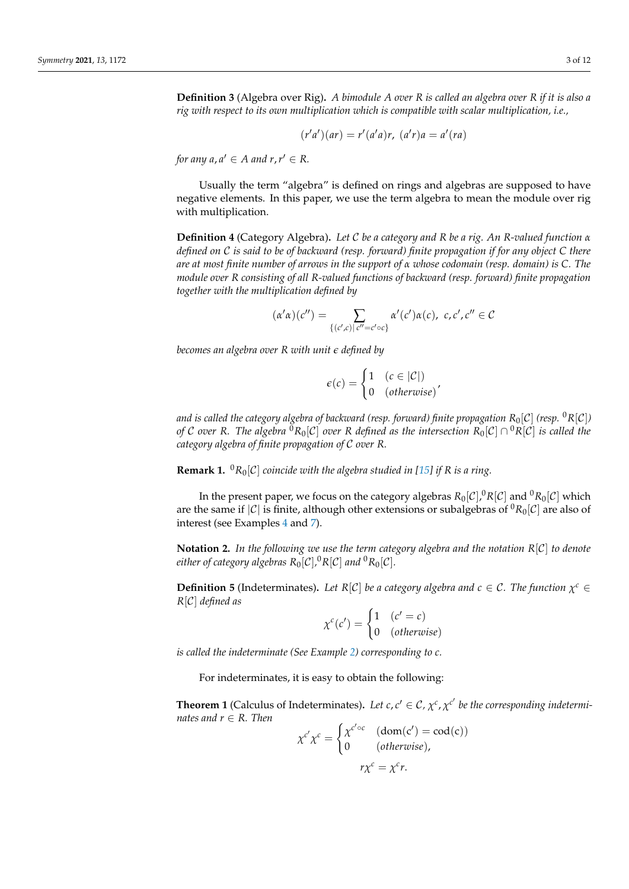**Definition 3** (Algebra over Rig)**.** *A bimodule A over R is called an algebra over R if it is also a rig with respect to its own multiplication which is compatible with scalar multiplication, i.e.,*

$$
(r'a')(ar) = r'(a'a)r, (a'r)a = a'(ra)
$$

*for any a, a'*  $\in$  *A and r, r'*  $\in$  *R*.

Usually the term "algebra" is defined on rings and algebras are supposed to have negative elements. In this paper, we use the term algebra to mean the module over rig with multiplication.

**Definition 4** (Category Algebra)**.** *Let* C *be a category and R be a rig. An R-valued function α defined on* C *is said to be of backward (resp. forward) finite propagation if for any object C there are at most finite number of arrows in the support of α whose codomain (resp. domain) is C. The module over R consisting of all R-valued functions of backward (resp. forward) finite propagation together with the multiplication defined by*

$$
(\alpha'\alpha)(c'') = \sum_{\{(c',c) \mid c''=c' \circ c\}} \alpha'(c')\alpha(c), \ c, c', c'' \in C
$$

*becomes an algebra over R with unit e defined by*

$$
\epsilon(c) = \begin{cases} 1 & (c \in |\mathcal{C}|) \\ 0 & (otherwise) \end{cases}
$$

*and is called the category algebra of backward (resp. forward) finite propagation*  $R_0[\mathcal{C}]$  *(resp.*  $^0R[\mathcal{C}]$ *) of C over R. The algebra*  ${}^0R_0[\mathcal{C}]$  *over R defined as the intersection*  $R_0[\mathcal{C}]\cap {}^0R[\mathcal{C}]$  *is called the category algebra of finite propagation of* C *over R.*

**Remark 1.**  ${}^{0}R_{0}[C]$  *coincide with the algebra studied in* [\[15\]](#page-11-8) *if R is a ring.* 

In the present paper, we focus on the category algebras  $R_0[\mathcal{C}].^0R[\mathcal{C}]$  and  $^0R_0[\mathcal{C}]$  which are the same if  $|C|$  is finite, although other extensions or subalgebras of  ${}^0R_0[C]$  are also of interest (see Examples [4](#page-5-0) and [7\)](#page-5-1).

**Notation 2.** *In the following we use the term category algebra and the notation R*[C] *to denote*  $e$ ither of category algebras  $R_0[\mathcal{C}]$ , ${}^0R[\mathcal{C}]$  and  ${}^0R_0[\mathcal{C}]$ .

**Definition 5** (Indeterminates). Let  $R[C]$  be a category algebra and  $c \in C$ . The function  $\chi^c \in C$ *R*[C] *defined as*

$$
\chi^{c}(c') = \begin{cases} 1 & (c' = c) \\ 0 & (otherwise) \end{cases}
$$

*is called the indeterminate (See Example [2\)](#page-4-0) corresponding to c.*

For indeterminates, it is easy to obtain the following:

**Theorem 1** (Calculus of Indeterminates). Let  $c, c' \in C$ ,  $\chi^c$ ,  $\chi^{c'}$  be the corresponding indetermi*nates and r* ∈ *R. Then*

$$
\chi^{c'}\chi^{c} = \begin{cases} \chi^{c' \circ c} & (\text{dom}(c') = \text{cod}(c)) \\ 0 & (\text{otherwise}), \end{cases}
$$

$$
r\chi^{c} = \chi^{c}r.
$$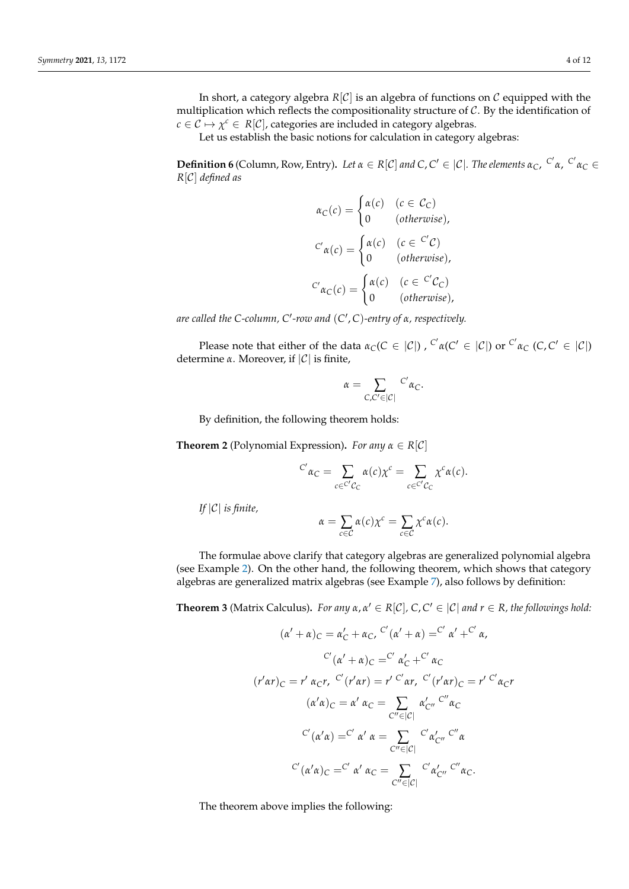In short, a category algebra  $R[\mathcal{C}]$  is an algebra of functions on  $\mathcal C$  equipped with the multiplication which reflects the compositionality structure of  $C$ . By the identification of  $c \in \mathcal{C} \mapsto \chi^c \in R[\mathcal{C}]$ , categories are included in category algebras.

Let us establish the basic notions for calculation in category algebras:

**Definition 6** (Column, Row, Entry). Let  $\alpha \in R[C]$  and  $C$ ,  $C' \in |C|$ . The elements  $\alpha_C$ ,  $C' \alpha$ ,  $C' \alpha_C \in C$ *R*[C] *defined as*

$$
\alpha_C(c) = \begin{cases}\n\alpha(c) & (c \in C_C) \\
0 & (otherwise),\n\end{cases}
$$
\n
$$
C'\alpha(c) = \begin{cases}\n\alpha(c) & (c \in C'C) \\
0 & (otherwise),\n\end{cases}
$$
\n
$$
C'\alpha_C(c) = \begin{cases}\n\alpha(c) & (c \in C'C) \\
0 & (otherwise),\n\end{cases}
$$

*are called the C-column, C*<sup>0</sup> *-row and* (*C* 0 , *C*)*-entry of α, respectively.*

Please note that either of the data  $α_C(C \in |C|)$  ,  ${}^{C'}α(C' \in |C|)$  or  ${}^{C'}α_C$   $(C, C' \in |C|)$ determine *α*. Moreover, if |C| is finite,

$$
\alpha = \sum_{C,C'\in |\mathcal{C}|} {c'}_{\alpha_C}.
$$

By definition, the following theorem holds:

<span id="page-3-0"></span>**Theorem 2** (Polynomial Expression). *For any*  $\alpha \in R[\mathcal{C}]$ 

$$
{}^{C'}\alpha_C = \sum_{c \in {}^{C'}C_C} \alpha(c)\chi^c = \sum_{c \in {}^{C'}C_C} \chi^c \alpha(c).
$$

*If* |C| *is finite,*

$$
\alpha = \sum_{c \in \mathcal{C}} \alpha(c) \chi^c = \sum_{c \in \mathcal{C}} \chi^c \alpha(c).
$$

The formulae above clarify that category algebras are generalized polynomial algebra (see Example [2\)](#page-4-0). On the other hand, the following theorem, which shows that category algebras are generalized matrix algebras (see Example [7\)](#page-5-1), also follows by definition:

<span id="page-3-1"></span>**Theorem 3** (Matrix Calculus). *For any*  $\alpha, \alpha' \in R[C]$ ,  $C, C' \in |C|$  *and*  $r \in R$ , the followings hold:

$$
(\alpha' + \alpha)_C = \alpha'_C + \alpha_C, \ C'(\alpha' + \alpha) = C' \alpha' + C' \alpha,
$$
  

$$
C'(\alpha' + \alpha)_C = C' \alpha'_C + C' \alpha_C
$$
  

$$
(r'\alpha r)_C = r' \alpha_C r, \ C'(r'\alpha r) = r' C'\alpha r, \ C'(r'\alpha r)_C = r' C'\alpha_C r
$$
  

$$
(\alpha'\alpha)_C = \alpha' \alpha_C = \sum_{C'' \in |C|} \alpha'_{C''} C'' \alpha_C
$$
  

$$
C'(\alpha'\alpha) = C' \alpha' \alpha_C = \sum_{C'' \in |C|} \alpha'_{C''} C'' \alpha_C
$$
  

$$
C'(\alpha'\alpha)_C = C' \alpha' \alpha_C = \sum_{C'' \in |C|} \alpha'_{C''} C'' \alpha_C.
$$

The theorem above implies the following: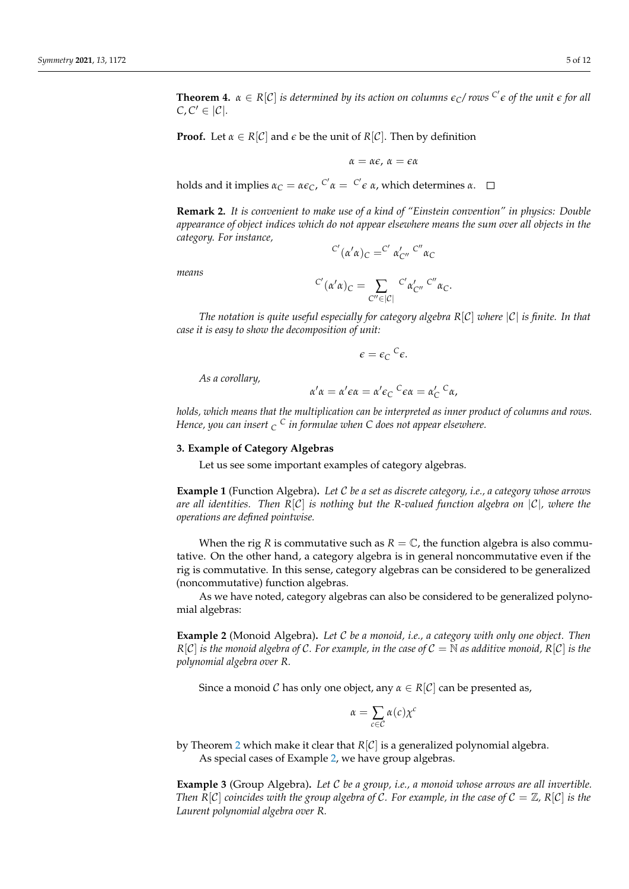**Theorem 4.**  $\alpha \in R[C]$  is determined by its action on columns  $\epsilon_C$ / rows  $C' \epsilon$  of the unit  $\epsilon$  for all  $C, C' \in |\mathcal{C}|.$ 

**Proof.** Let  $\alpha \in R[\mathcal{C}]$  and  $\epsilon$  be the unit of  $R[\mathcal{C}]$ . Then by definition

$$
\alpha=\alpha\varepsilon,\,\alpha=\varepsilon\alpha
$$

holds and it implies  $α_C = αε_C$ ,  $C'α = C'ε α$ , which determines  $α$ .

**Remark 2.** *It is convenient to make use of a kind of "Einstein convention" in physics: Double appearance of object indices which do not appear elsewhere means the sum over all objects in the category. For instance,*

$$
^{C'}(\alpha'\alpha)_C = ^{C'}\alpha'_{C''} ^{\prime\prime} ^{\prime\prime} \alpha_C
$$

*means*

$$
{}^{C'}(\alpha'\alpha)_C=\sum_{C''\in|C|}{}^{C'}\alpha'_{C''}{}^{C''}\alpha_C.
$$

*The notation is quite useful especially for category algebra R*[C] *where* |C| *is finite. In that case it is easy to show the decomposition of unit:*

$$
\epsilon = \epsilon_C{}^C \epsilon.
$$

*As a corollary,*

$$
\alpha'\alpha = \alpha'\epsilon\alpha = \alpha'\epsilon_C{}^C\epsilon\alpha = \alpha'_C{}^C\alpha,
$$

*holds, which means that the multiplication can be interpreted as inner product of columns and rows. Hence, you can insert <sup>C</sup> <sup>C</sup> in formulae when C does not appear elsewhere.*

#### **3. Example of Category Algebras**

Let us see some important examples of category algebras.

**Example 1** (Function Algebra)**.** *Let* C *be a set as discrete category, i.e., a category whose arrows are all identities. Then R*[C] *is nothing but the R-valued function algebra on* |C|*, where the operations are defined pointwise.*

When the rig *R* is commutative such as  $R = \mathbb{C}$ , the function algebra is also commutative. On the other hand, a category algebra is in general noncommutative even if the rig is commutative. In this sense, category algebras can be considered to be generalized (noncommutative) function algebras.

As we have noted, category algebras can also be considered to be generalized polynomial algebras:

<span id="page-4-0"></span>**Example 2** (Monoid Algebra)**.** *Let* C *be a monoid, i.e., a category with only one object. Then*  $R[C]$  *is the monoid algebra of C. For example, in the case of*  $C = N$  *as additive monoid,*  $R[C]$  *is the polynomial algebra over R.*

Since a monoid C has only one object, any  $\alpha \in R[\mathcal{C}]$  can be presented as,

$$
\alpha = \sum_{c \in \mathcal{C}} \alpha(c) \chi^c
$$

by Theorem [2](#page-3-0) which make it clear that  $R[\mathcal{C}]$  is a generalized polynomial algebra. As special cases of Example [2,](#page-4-0) we have group algebras.

<span id="page-4-1"></span>**Example 3** (Group Algebra)**.** *Let* C *be a group, i.e., a monoid whose arrows are all invertible. Then*  $R[C]$  *coincides with the group algebra of* C. For example, in the case of  $C = \mathbb{Z}$ ,  $R[C]$  is the *Laurent polynomial algebra over R.*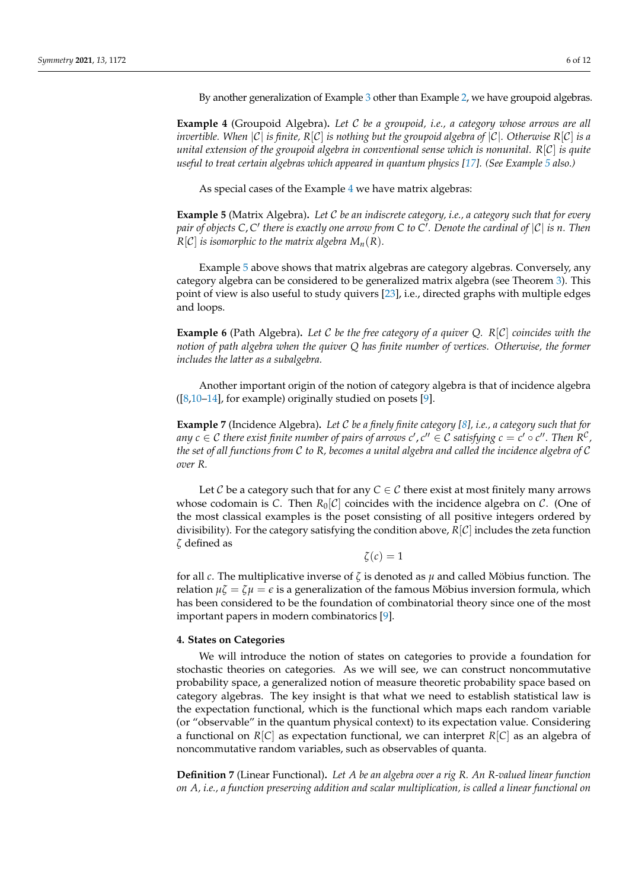By another generalization of Example [3](#page-4-1) other than Example [2,](#page-4-0) we have groupoid algebras.

<span id="page-5-0"></span>**Example 4** (Groupoid Algebra)**.** *Let* C *be a groupoid, i.e., a category whose arrows are all invertible. When*  $|C|$  *is finite,*  $R[C]$  *is nothing but the groupoid algebra of*  $|C|$ *. Otherwise*  $R[C]$  *is a unital extension of the groupoid algebra in conventional sense which is nonunital. R*[C] *is quite useful to treat certain algebras which appeared in quantum physics [\[17\]](#page-11-10). (See Example [5](#page-5-2) also.)*

As special cases of the Example [4](#page-5-0) we have matrix algebras:

<span id="page-5-2"></span>**Example 5** (Matrix Algebra)**.** *Let* C *be an indiscrete category, i.e., a category such that for every* pair of objects C, C' there is exactly one arrow from C to C<sup>'</sup>. Denote the cardinal of  $|{\cal C}|$  is  $n$ . Then  $R[C]$  *is isomorphic to the matrix algebra*  $M_n(R)$ *.* 

Example [5](#page-5-2) above shows that matrix algebras are category algebras. Conversely, any category algebra can be considered to be generalized matrix algebra (see Theorem [3\)](#page-3-1). This point of view is also useful to study quivers [\[23\]](#page-11-15), i.e., directed graphs with multiple edges and loops.

**Example 6** (Path Algebra)**.** *Let* C *be the free category of a quiver Q. R*[C] *coincides with the notion of path algebra when the quiver Q has finite number of vertices. Otherwise, the former includes the latter as a subalgebra.*

Another important origin of the notion of category algebra is that of incidence algebra  $([8,10-14]$  $([8,10-14]$  $([8,10-14]$  $([8,10-14]$ , for example) originally studied on posets [\[9\]](#page-11-4).

<span id="page-5-1"></span>**Example 7** (Incidence Algebra)**.** *Let* C *be a finely finite category [\[8\]](#page-11-3), i.e., a category such that for* any  $c \in \mathcal{C}$  there exist finite number of pairs of arrows  $c'$  ,  $c'' \in \mathcal{C}$  satisfying  $c = c' \circ c''$  . Then  $R^\mathcal{C}$  , *the set of all functions from* C *to R, becomes a unital algebra and called the incidence algebra of* C *over R.*

Let  $C$  be a category such that for any  $C \in C$  there exist at most finitely many arrows whose codomain is C. Then  $R_0[C]$  coincides with the incidence algebra on C. (One of the most classical examples is the poset consisting of all positive integers ordered by divisibility). For the category satisfying the condition above,  $R[\mathcal{C}]$  includes the zeta function *ζ* defined as

 $\zeta(c) = 1$ 

for all *c*. The multiplicative inverse of *ζ* is denoted as *µ* and called Möbius function. The relation  $\mu \zeta = \zeta \mu = \epsilon$  is a generalization of the famous Möbius inversion formula, which has been considered to be the foundation of combinatorial theory since one of the most important papers in modern combinatorics [\[9\]](#page-11-4).

### **4. States on Categories**

We will introduce the notion of states on categories to provide a foundation for stochastic theories on categories. As we will see, we can construct noncommutative probability space, a generalized notion of measure theoretic probability space based on category algebras. The key insight is that what we need to establish statistical law is the expectation functional, which is the functional which maps each random variable (or "observable" in the quantum physical context) to its expectation value. Considering a functional on  $R[C]$  as expectation functional, we can interpret  $R[C]$  as an algebra of noncommutative random variables, such as observables of quanta.

**Definition 7** (Linear Functional)**.** *Let A be an algebra over a rig R. An R-valued linear function on A, i.e., a function preserving addition and scalar multiplication, is called a linear functional on*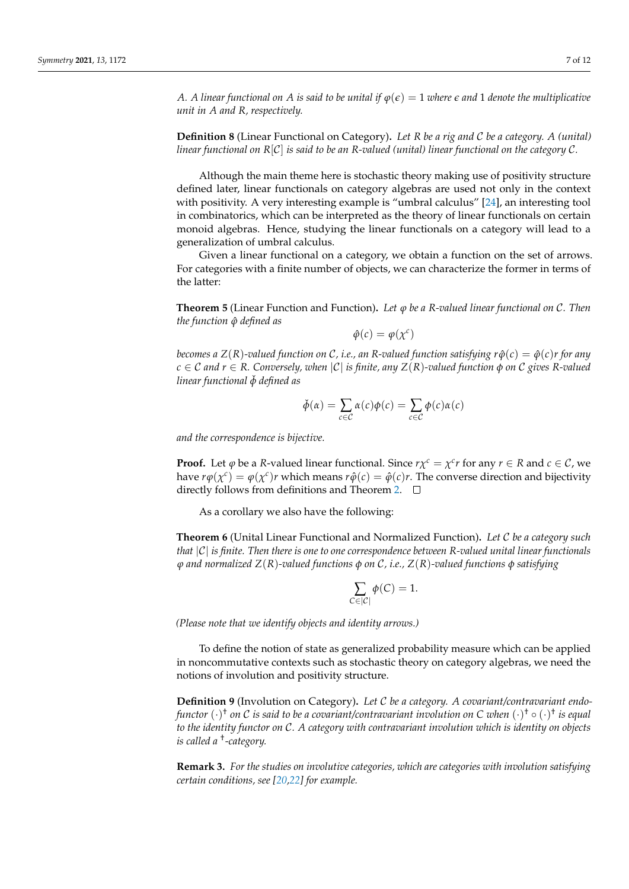*A. A linear functional on A is said to be unital if*  $\varphi(\epsilon) = 1$  *where*  $\epsilon$  *and* 1 *denote the multiplicative unit in A and R, respectively.*

**Definition 8** (Linear Functional on Category)**.** *Let R be a rig and* C *be a category. A (unital) linear functional on R*[C] *is said to be an R-valued (unital) linear functional on the category* C*.*

Although the main theme here is stochastic theory making use of positivity structure defined later, linear functionals on category algebras are used not only in the context with positivity. A very interesting example is "umbral calculus" [\[24\]](#page-11-16), an interesting tool in combinatorics, which can be interpreted as the theory of linear functionals on certain monoid algebras. Hence, studying the linear functionals on a category will lead to a generalization of umbral calculus.

Given a linear functional on a category, we obtain a function on the set of arrows. For categories with a finite number of objects, we can characterize the former in terms of the latter:

**Theorem 5** (Linear Function and Function)**.** *Let ϕ be a R-valued linear functional on* C*. Then the function ϕ*ˆ *defined as*

$$
\hat{\varphi}(c) = \varphi(\chi^c)
$$

*becomes a*  $Z(R)$ -valued function on C, i.e., an R-valued function satisfying  $r\hat{\varphi}(c) = \hat{\varphi}(c)r$  for any  $c \in \mathcal{C}$  *and*  $r \in \mathcal{R}$ . Conversely, when  $|\mathcal{C}|$  is finite, any  $Z(\mathcal{R})$ -valued function  $\phi$  on  $\mathcal{C}$  gives R-valued *linear functional*  $\check{\phi}$  *defined as* 

$$
\check{\phi}(\alpha) = \sum_{c \in \mathcal{C}} \alpha(c)\phi(c) = \sum_{c \in \mathcal{C}} \phi(c)\alpha(c)
$$

*and the correspondence is bijective.*

**Proof.** Let  $\varphi$  be a *R*-valued linear functional. Since  $r\chi^c = \chi^c r$  for any  $r \in R$  and  $c \in C$ , we have  $r\phi(\chi^c) = \phi(\chi^c)r$  which means  $r\hat{\phi}(c) = \hat{\phi}(c)r$ . The converse direction and bijectivity directly follows from definitions and Theorem [2.](#page-3-0)  $\Box$ 

As a corollary we also have the following:

**Theorem 6** (Unital Linear Functional and Normalized Function)**.** *Let* C *be a category such that* |C| *is finite. Then there is one to one correspondence between R-valued unital linear functionals ϕ and normalized Z*(*R*)*-valued functions φ on* C*, i.e., Z*(*R*)*-valued functions φ satisfying*

$$
\sum_{C \in |\mathcal{C}|} \phi(C) = 1.
$$

*(Please note that we identify objects and identity arrows.)*

To define the notion of state as generalized probability measure which can be applied in noncommutative contexts such as stochastic theory on category algebras, we need the notions of involution and positivity structure.

**Definition 9** (Involution on Category)**.** *Let* C *be a category. A covariant/contravariant endofunctor* (·) † *on* C *is said to be a covariant/contravariant involution on C when* (·) † ◦ (·) † *is equal to the identity functor on* C*. A category with contravariant involution which is identity on objects is called a* † *-category.*

**Remark 3.** *For the studies on involutive categories, which are categories with involution satisfying certain conditions, see [\[20,](#page-11-13)[22\]](#page-11-14) for example.*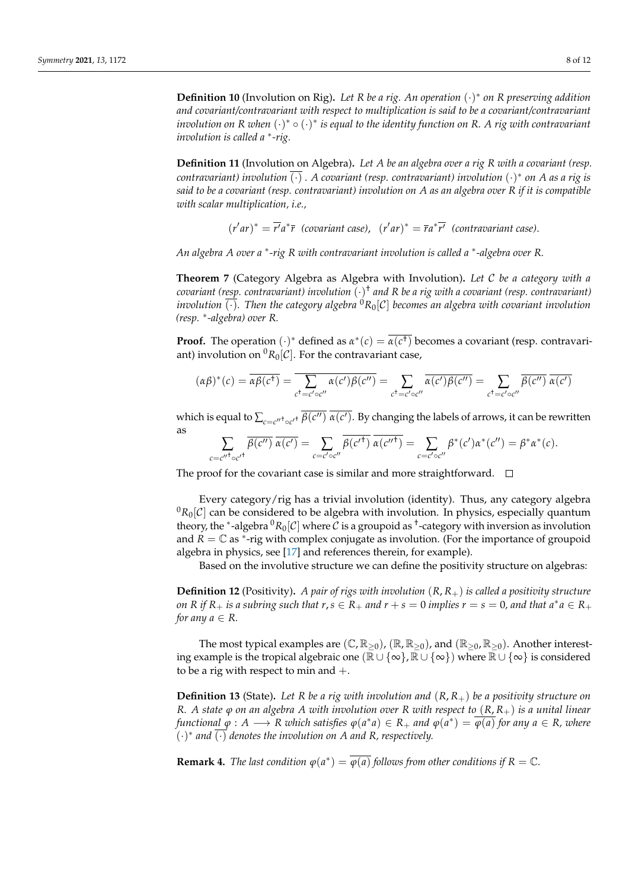**Definition 10** (Involution on Rig)**.** *Let R be a rig. An operation* (·) ∗ *on R preserving addition and covariant/contravariant with respect to multiplication is said to be a covariant/contravariant involution on R when*  $(·)$ \* ∘  $(·)$ \* *is equal to the identity function on R. A rig with contravariant involution is called a* <sup>∗</sup> *-rig.*

**Definition 11** (Involution on Algebra)**.** *Let A be an algebra over a rig R with a covariant (resp. contravariant) involution* (·) *. A covariant (resp. contravariant) involution* (·) ∗ *on A as a rig is said to be a covariant (resp. contravariant) involution on A as an algebra over R if it is compatible with scalar multiplication, i.e.,*

 $(r'ar)^* = \overline{r'}a^*\overline{r}$  (covariant case),  $(r'ar)^* = \overline{r}a^*\overline{r'}$  (contravariant case).

*An algebra A over a* <sup>∗</sup> *-rig R with contravariant involution is called a* <sup>∗</sup> *-algebra over R.*

**Theorem 7** (Category Algebra as Algebra with Involution)**.** *Let* C *be a category with a covariant (resp. contravariant) involution* (·) † *and R be a rig with a covariant (resp. contravariant) involution*  $\overline{(\cdot)}$ *. Then the category algebra*  ${}^{0}R_{0}[\mathcal{C}]$  *becomes an algebra with covariant involution (resp.* <sup>∗</sup> *-algebra) over R.*

**Proof.** The operation  $(\cdot)^*$  defined as  $\alpha^*(c) = \overline{\alpha(c^+)}$  becomes a covariant (resp. contravariant) involution on  ${}^{0}R_{0}[\mathcal{C}]$ . For the contravariant case,

$$
(\alpha\beta)^*(c) = \overline{\alpha\beta(c^+)} = \overline{\sum_{c^+ = c'\circ c''}\alpha(c')\beta(c'')} = \sum_{c^+ = c'\circ c''}\overline{\alpha(c')\beta(c'')} = \sum_{c^+ = c'\circ c''}\overline{\beta(c'')} \overline{\alpha(c')}
$$

which is equal to  $\sum_{c=c''^{\dagger} \circ c'^{\dagger}} \overline{\beta(c'')}$  *a*(*c'*). By changing the labels of arrows, it can be rewritten as

$$
\sum_{c=c''^{\dagger} \circ c'^{\dagger}} \overline{\beta(c'')} \overline{\alpha(c')} = \sum_{c=c' \circ c''} \beta(c'^{\dagger}) \overline{\alpha(c''^{\dagger})} = \sum_{c=c' \circ c''} \beta^*(c') \alpha^*(c'') = \beta^* \alpha^*(c).
$$

The proof for the covariant case is similar and more straightforward.  $\Box$ 

Every category/rig has a trivial involution (identity). Thus, any category algebra  ${}^{0}R_{0}$ [C] can be considered to be algebra with involution. In physics, especially quantum theory, the <sup>∗</sup>-algebra  ${}^0R_0[\mathcal{C}]$  where  $\overline{\mathcal{C}}$  is a groupoid as <sup>†</sup>-category with inversion as involution and  $\overline{R} = \mathbb{C}$  as <sup>\*</sup>-rig with complex conjugate as involution. (For the importance of groupoid algebra in physics, see [\[17\]](#page-11-10) and references therein, for example).

Based on the involutive structure we can define the positivity structure on algebras:

**Definition 12** (Positivity)**.** *A pair of rigs with involution* (*R*, *R*+) *is called a positivity structure on*  $R$  *if*  $R_+$  *is a subring such that*  $r, s \in R_+$  *and*  $r + s = 0$  *implies*  $r = s = 0$ *, and that*  $a^*a \in R_+$ *for any a*  $\in$  *R*.

The most typical examples are  $(\mathbb{C}, \mathbb{R}_{>0})$ ,  $(\mathbb{R}, \mathbb{R}_{>0})$ , and  $(\mathbb{R}_{>0}, \mathbb{R}_{>0})$ . Another interesting example is the tropical algebraic one ( $\mathbb{R} \cup {\infty}$ ,  $\mathbb{R} \cup {\infty}$ ) where  $\mathbb{R} \cup {\infty}$  is considered to be a rig with respect to min and  $+$ .

**Definition 13** (State)**.** *Let R be a rig with involution and* (*R*, *R*+) *be a positivity structure on R. A state ϕ on an algebra A with involution over R with respect to* (*R*, *R*+) *is a unital linear*  $f$ unctional  $\varphi: A \longrightarrow R$  which satisfies  $\varphi(a^*a) \in R_+$  and  $\varphi(a^*) = \overline{\varphi(a)}$  for any  $a \in R$ , where  $(\cdot)^*$  and  $\overline{(\cdot)}$  denotes the involution on A and R, respectively.

**Remark 4.** *The last condition*  $\varphi(a^*) = \overline{\varphi(a)}$  *follows from other conditions if*  $R = \mathbb{C}$ *.*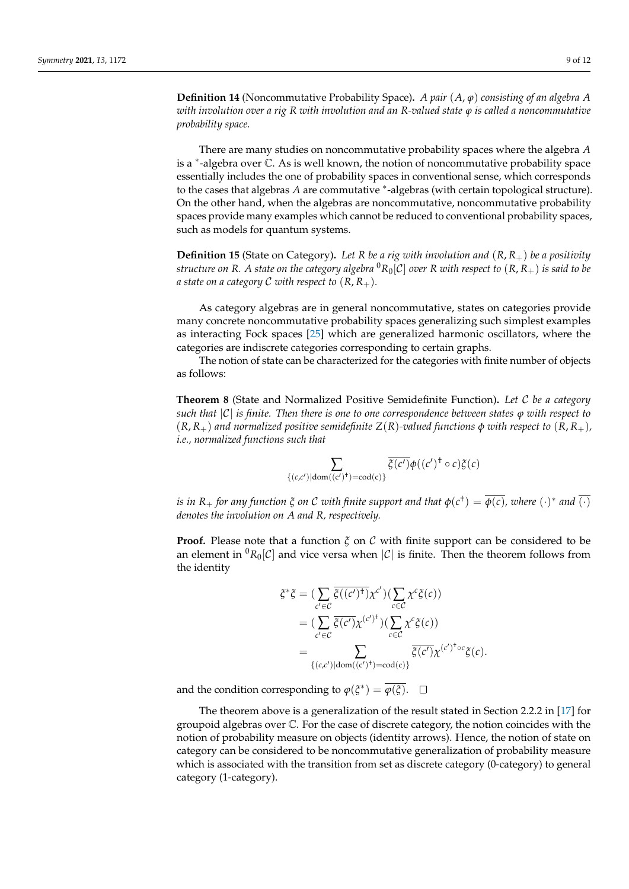**Definition 14** (Noncommutative Probability Space)**.** *A pair* (*A*, *ϕ*) *consisting of an algebra A with involution over a rig R with involution and an R-valued state ϕ is called a noncommutative probability space.*

There are many studies on noncommutative probability spaces where the algebra *A* is a <sup>∗</sup> -algebra over C. As is well known, the notion of noncommutative probability space essentially includes the one of probability spaces in conventional sense, which corresponds to the cases that algebras *A* are commutative <sup>∗</sup> -algebras (with certain topological structure). On the other hand, when the algebras are noncommutative, noncommutative probability spaces provide many examples which cannot be reduced to conventional probability spaces, such as models for quantum systems.

**Definition 15** (State on Category)**.** *Let R be a rig with involution and* (*R*, *R*+) *be a positivity structure on R.* A state on the category algebra  ${}^0R_0[C]$  over *R* with respect to  $(R, R_+)$  is said to be *a* state on a category C with respect to  $(R, R_+)$ .

As category algebras are in general noncommutative, states on categories provide many concrete noncommutative probability spaces generalizing such simplest examples as interacting Fock spaces [\[25\]](#page-11-17) which are generalized harmonic oscillators, where the categories are indiscrete categories corresponding to certain graphs.

The notion of state can be characterized for the categories with finite number of objects as follows:

**Theorem 8** (State and Normalized Positive Semidefinite Function)**.** *Let* C *be a category such that*  $|C|$  *is finite. Then there is one to one correspondence between states*  $\varphi$  *with respect to*  $(R, R_{+})$  *and normalized positive semidefinite*  $Z(R)$ *-valued functions*  $\phi$  *with respect to*  $(R, R_{+})$ *, i.e., normalized functions such that*

$$
\sum_{\{(c,c')|\text{dom}((c')^+) = \text{cod}(c)\}} \overline{\xi(c')} \phi((c')^+ \circ c) \xi(c)
$$

*is in R*<sub>+</sub> for any function  $\xi$  on C with finite support and that  $\phi(c^{\dag}) = \overline{\phi(c)}$ , where  $(\cdot)^*$  and  $\overline{(\cdot)}$ *denotes the involution on A and R, respectively.*

**Proof.** Please note that a function *ξ* on C with finite support can be considered to be an element in  ${}^{0}R_0[C]$  and vice versa when  $|C|$  is finite. Then the theorem follows from the identity

$$
\xi^* \xi = (\sum_{c' \in C} \overline{\xi((c')^{\dagger})} \chi^{c'})(\sum_{c \in C} \chi^c \xi(c))
$$
  
= 
$$
(\sum_{c' \in C} \overline{\xi(c')} \chi^{(c')^{\dagger}})(\sum_{c \in C} \chi^c \xi(c))
$$
  
= 
$$
\sum_{\{(c,c') | \text{dom}((c')^{\dagger}) = \text{cod}(c)\}} \overline{\xi(c')} \chi^{(c')^{\dagger} \circ c} \xi(c).
$$

and the condition corresponding to  $\varphi(\xi^*) = \overline{\varphi(\xi)}$ .

The theorem above is a generalization of the result stated in Section 2.2.2 in [\[17\]](#page-11-10) for groupoid algebras over C. For the case of discrete category, the notion coincides with the notion of probability measure on objects (identity arrows). Hence, the notion of state on category can be considered to be noncommutative generalization of probability measure which is associated with the transition from set as discrete category (0-category) to general category (1-category).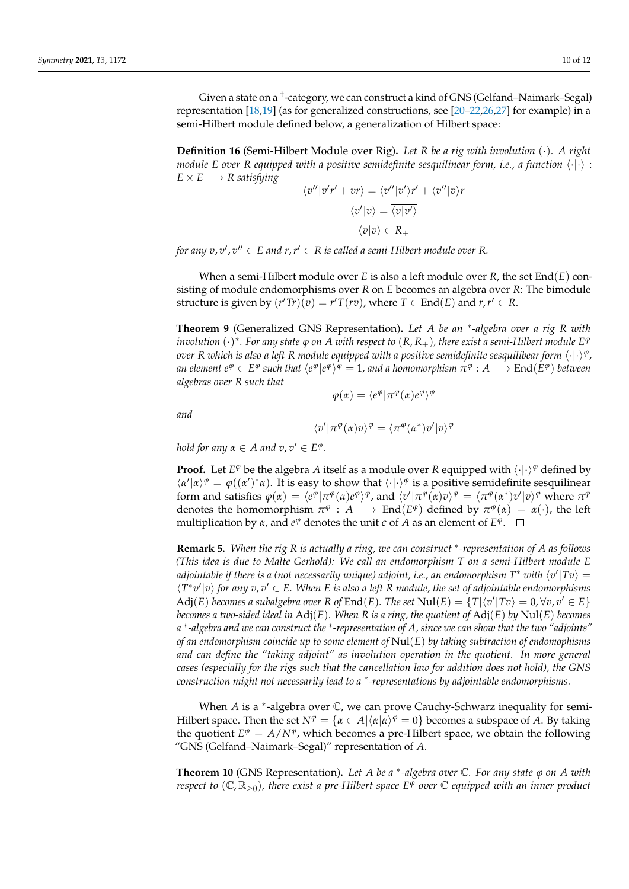Given a state on a † -category, we can construct a kind of GNS (Gelfand–Naimark–Segal) representation [\[18,](#page-11-11)[19\]](#page-11-12) (as for generalized constructions, see [\[20–](#page-11-13)[22](#page-11-14)[,26,](#page-11-18)[27\]](#page-11-19) for example) in a semi-Hilbert module defined below, a generalization of Hilbert space:

**Definition 16** (Semi-Hilbert Module over Rig)**.** *Let R be a rig with involution* (·)*. A right module E over R equipped with a positive semidefinite sesquilinear form, i.e., a function*  $\langle \cdot | \cdot \rangle$  :  $E \times E \longrightarrow R$  *satisfying* 

$$
\langle v''|v'r' + vr \rangle = \langle v''|v'\rangle r' + \langle v''|v\rangle r
$$

$$
\langle v'|v \rangle = \overline{\langle v|v'\rangle}
$$

$$
\langle v|v \rangle \in R_+
$$

for any  $v$ ,  $v'$ ,  $v'' \in E$  and  $r$ ,  $r' \in R$  is called a semi-Hilbert module over R.

When a semi-Hilbert module over *E* is also a left module over *R*, the set End(*E*) consisting of module endomorphisms over *R* on *E* becomes an algebra over *R*: The bimodule structure is given by  $(r'Tr)\bar{(v)} = r'T(rv)$ , where  $T \in \text{End}(E)$  and  $r, r' \in R$ .

**Theorem 9** (Generalized GNS Representation)**.** *Let A be an* <sup>∗</sup> *-algebra over a rig R with*  $\phi$  *involution*  $(\cdot)^*$ . For any state  $\phi$  on  $A$  with respect to  $(R,R_+)$ , there exist a semi-Hilbert module  $E^\phi$  $\,$  *over <code>R</code> which is also a left <code>R</code> module equipped with a positive semidefinite sesquilibear form*  $\langle\cdot|\cdot\rangle^{\varphi}$  *,*  $\alpha$  *e* (*e*  $\alpha$  ) *e e* (*e* ) *e* (*e* )  $\alpha$  (*e* ) *o* (*e* ) *and a homomorphism*  $\pi$  $\alpha$  *:*  $A \longrightarrow$  *End(<i>E*  $\alpha$  ) *between algebras over R such that*

 $\varphi(\alpha) = \langle e^{\varphi} | \pi^{\varphi}(\alpha) e^{\varphi} \rangle^{\varphi}$ 

*and*

$$
\langle v' | \pi^{\varphi}(\alpha)v \rangle^{\varphi} = \langle \pi^{\varphi}(\alpha^*)v' | v \rangle^{\varphi}
$$

*hold for any*  $\alpha \in A$  *and*  $v, v' \in E^{\varphi}$ .

**Proof.** Let  $E^{\varphi}$  be the algebra *A* itself as a module over *R* equipped with  $\langle \cdot | \cdot \rangle^{\varphi}$  defined by  $\langle \alpha' | \alpha \rangle^{\varphi} = \varphi((\alpha')^* \alpha)$ . It is easy to show that  $\langle \cdot | \cdot \rangle^{\varphi}$  is a positive semidefinite sesquilinear form and satisfies  $\varphi(\alpha)=\langle e^{\varphi}|\pi^\varphi(\alpha)e^\varphi\rangle^\varphi$ , and  $\langle v'|\pi^\varphi(\alpha)v\rangle^\varphi=\langle \pi^\varphi(\alpha^*)v'|v\rangle^\varphi$  where  $\pi^\varphi$ denotes the homomorphism  $\pi^{\varphi}$  :  $A \longrightarrow \text{End}(E^{\varphi})$  defined by  $\pi^{\varphi}(\alpha) = \alpha(\cdot)$ , the left multiplication by  $\alpha$ , and  $e^{\varphi}$  denotes the unit  $\epsilon$  of  $A$  as an element of  $E^{\varphi}$ .

**Remark 5.** *When the rig R is actually a ring, we can construct* <sup>∗</sup> *-representation of A as follows (This idea is due to Malte Gerhold): We call an endomorphism T on a semi-Hilbert module E adjointable if there is a (not necessarily unique) adjoint, i.e., an endomorphism T\* with*  $\langle v' | T v \rangle =$  $\langle T^*v' | v \rangle$  for any  $v, v' \in E$ . When E is also a left R module, the set of adjointable endomorphisms Adj $(E)$  becomes a subalgebra over  $R$  of  $End(E)$ . The set  $Nul(E) = {T|\langle v' | Tv \rangle = 0, \forall v, v' \in E}$ *becomes a two-sided ideal in* Adj(*E*)*. When R is a ring, the quotient of* Adj(*E*) *by* Nul(*E*) *becomes a* ∗ *-algebra and we can construct the* <sup>∗</sup> *-representation of A, since we can show that the two "adjoints" of an endomorphism coincide up to some element of* Nul(*E*) *by taking subtraction of endomophisms and can define the "taking adjoint" as involution operation in the quotient. In more general cases (especially for the rigs such that the cancellation law for addition does not hold), the GNS construction might not necessarily lead to a* <sup>∗</sup> *-representations by adjointable endomorphisms.*

When *A* is a <sup>\*</sup>-algebra over *ℂ*, we can prove Cauchy-Schwarz inequality for semi-Hilbert space. Then the set  $N^{\varphi} = {\alpha \in A | \langle \alpha | \alpha \rangle^{\varphi} = 0}$  becomes a subspace of *A*. By taking the quotient  $E^{\varphi} = A/N^{\varphi}$ , which becomes a pre-Hilbert space, we obtain the following "GNS (Gelfand–Naimark–Segal)" representation of *A*.

**Theorem 10** (GNS Representation)**.** *Let A be a* <sup>∗</sup> *-algebra over* C*. For any state ϕ on A with respect to*  $(\mathbb{C}, \mathbb{R}_{\geq 0})$ , there exist a pre-Hilbert space  $E^{\overline{\varphi}}$  over  $\mathbb C$  equipped with an inner product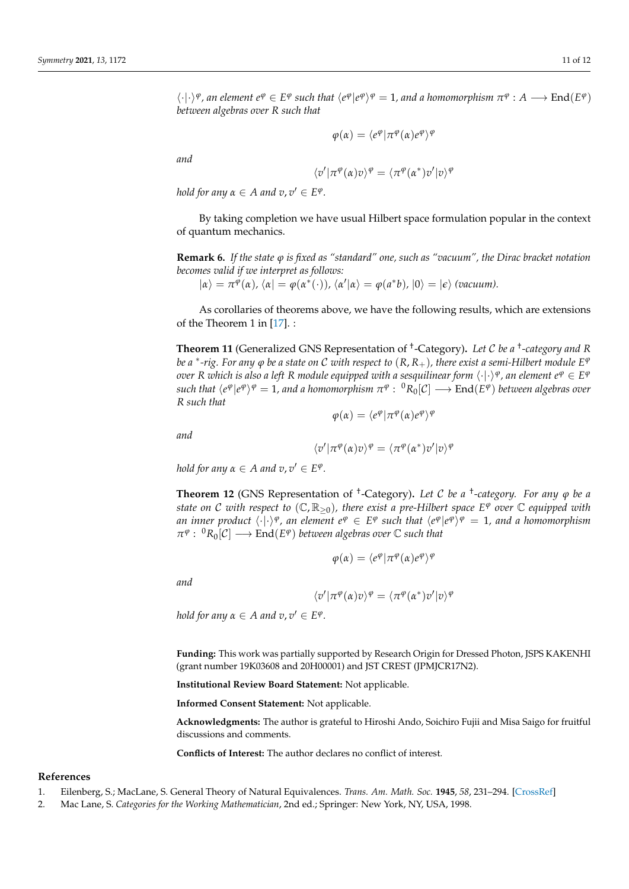$\varphi(\alpha) = \langle e^{\varphi} | \pi^{\varphi}(\alpha) e^{\varphi} \rangle^{\varphi}$ 

*and*

$$
\langle v' | \pi^\varphi(\alpha) v \rangle^\varphi = \langle \pi^\varphi(\alpha^*) v' | v \rangle^\varphi
$$

*hold for any*  $\alpha \in A$  *and*  $v, v' \in E^{\varphi}$ .

By taking completion we have usual Hilbert space formulation popular in the context of quantum mechanics.

**Remark 6.** *If the state ϕ is fixed as "standard" one, such as "vacuum", the Dirac bracket notation becomes valid if we interpret as follows:*

 $|\alpha\rangle = \pi^{\varphi}(\alpha)$ *,*  $\langle \alpha | = \varphi(\alpha^*(\cdot))$ *,*  $\langle \alpha' | \alpha \rangle = \varphi(a^*b)$ *,*  $|0\rangle = |\epsilon\rangle$  (vacuum).

As corollaries of theorems above, we have the following results, which are extensions of the Theorem 1 in [\[17\]](#page-11-10). :

**Theorem 11** (Generalized GNS Representation of † -Category)**.** *Let* C *be a* † *-category and R be a* \*-rig. For any  $\varphi$  *be a state on C with respect to*  $(R,R_+)$ *, there exist a semi-Hilbert module E* $^\varphi$ *over R which is also a left R module equipped with a sesquilinear form*  $\langle\cdot|\cdot\rangle^\varphi$  *, an element*  $e^\varphi\in E^\varphi$  $\phi$  such that  $\langle e^\varphi | e^\varphi \rangle^\varphi = 1$ , and a homomorphism  $\pi^\varphi:~^0R_0[\mathcal{C}] \longrightarrow \text{End}(E^\varphi)$  between algebras over *R such that*

 $\varphi(\alpha) = \langle e^{\varphi} | \pi^{\varphi}(\alpha) e^{\varphi} \rangle^{\varphi}$ 

*and*

$$
\langle v' | \pi^{\varphi}(\alpha)v \rangle^{\varphi} = \langle \pi^{\varphi}(\alpha^*)v' | v \rangle^{\varphi}
$$

*hold for any*  $\alpha \in A$  *and*  $v, v' \in E^{\varphi}$ .

**Theorem 12** (GNS Representation of † -Category)**.** *Let* C *be a* † *-category. For any ϕ be a state on C with respect to*  $(\mathbb{C}, \mathbb{R}_{\geq 0})$ , there exist a pre-Hilbert space  $E^\varphi$  over  $\mathbb C$  equipped with *an inner product*  $\langle \cdot | \cdot \rangle^{\varphi}$ , an element  $e^{\varphi} \in E^{\varphi}$  such that  $\langle e^{\varphi} | e^{\varphi} \rangle^{\varphi} = 1$ , and a homomorphism  $\pi^{\varphi}$ :  ${}^{0}R_{0}[\mathcal{C}] \longrightarrow \text{End}(E^{\varphi})$  *between algebras over*  $\mathbb {C}$  *such that* 

$$
\varphi(\alpha) = \langle e^{\varphi} | \pi^{\varphi}(\alpha) e^{\varphi} \rangle^{\varphi}
$$

*and*

$$
\langle v' | \pi^{\varphi}(\alpha)v \rangle^{\varphi} = \langle \pi^{\varphi}(\alpha^*)v' | v \rangle^{\varphi}
$$

*hold for any*  $\alpha \in A$  *and*  $v, v' \in E^{\varphi}$ .

**Funding:** This work was partially supported by Research Origin for Dressed Photon, JSPS KAKENHI (grant number 19K03608 and 20H00001) and JST CREST (JPMJCR17N2).

**Institutional Review Board Statement:** Not applicable.

**Informed Consent Statement:** Not applicable.

**Acknowledgments:** The author is grateful to Hiroshi Ando, Soichiro Fujii and Misa Saigo for fruitful discussions and comments.

**Conflicts of Interest:** The author declares no conflict of interest.

#### **References**

- <span id="page-10-0"></span>1. Eilenberg, S.; MacLane, S. General Theory of Natural Equivalences. *Trans. Am. Math. Soc.* **1945**, *58*, 231–294. [\[CrossRef\]](http://doi.org/10.1090/S0002-9947-1945-0013131-6)
- 2. Mac Lane, S. *Categories for the Working Mathematician*, 2nd ed.; Springer: New York, NY, USA, 1998.